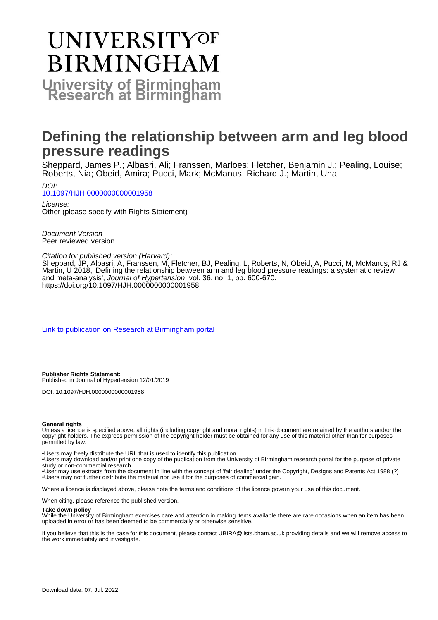# **UNIVERSITYOF BIRMINGHAM University of Birmingham**

## **Defining the relationship between arm and leg blood pressure readings**

Sheppard, James P.; Albasri, Ali; Franssen, Marloes; Fletcher, Benjamin J.; Pealing, Louise; Roberts, Nia; Obeid, Amira; Pucci, Mark; McManus, Richard J.; Martin, Una

DOI: [10.1097/HJH.0000000000001958](https://doi.org/10.1097/HJH.0000000000001958)

License: Other (please specify with Rights Statement)

Document Version Peer reviewed version

#### Citation for published version (Harvard):

Sheppard, JP, Albasri, A, Franssen, M, Fletcher, BJ, Pealing, L, Roberts, N, Obeid, A, Pucci, M, McManus, RJ & Martin, U 2018, 'Defining the relationship between arm and leg blood pressure readings: a systematic review and meta-analysis', Journal of Hypertension, vol. 36, no. 1, pp. 600-670. https://doi.org/10.1097/HJH.00000000000001958

[Link to publication on Research at Birmingham portal](https://birmingham.elsevierpure.com/en/publications/bfd49b9b-1e9c-4704-a1ce-da2d218915ae)

**Publisher Rights Statement:** Published in Journal of Hypertension 12/01/2019

DOI: 10.1097/HJH.0000000000001958

#### **General rights**

Unless a licence is specified above, all rights (including copyright and moral rights) in this document are retained by the authors and/or the copyright holders. The express permission of the copyright holder must be obtained for any use of this material other than for purposes permitted by law.

• Users may freely distribute the URL that is used to identify this publication.

• Users may download and/or print one copy of the publication from the University of Birmingham research portal for the purpose of private study or non-commercial research.

• User may use extracts from the document in line with the concept of 'fair dealing' under the Copyright, Designs and Patents Act 1988 (?) • Users may not further distribute the material nor use it for the purposes of commercial gain.

Where a licence is displayed above, please note the terms and conditions of the licence govern your use of this document.

When citing, please reference the published version.

#### **Take down policy**

While the University of Birmingham exercises care and attention in making items available there are rare occasions when an item has been uploaded in error or has been deemed to be commercially or otherwise sensitive.

If you believe that this is the case for this document, please contact UBIRA@lists.bham.ac.uk providing details and we will remove access to the work immediately and investigate.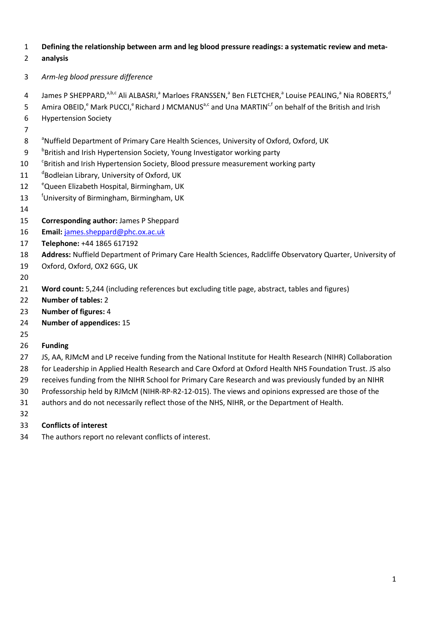#### **Defining the relationship between arm and leg blood pressure readings: a systematic review and meta-**

## **analysis**

- *Arm-leg blood pressure difference*
- James P SHEPPARD, $^{a,b,c}$  Ali ALBASRI, $^a$  Marloes FRANSSEN, $^a$  Ben FLETCHER, $^a$  Louise PEALING, $^a$  Nia ROBERTS, $^d$
- 5 Amira OBEID,<sup>e</sup> Mark PUCCI,<sup>e</sup> Richard J MCMANUS<sup>a,c</sup> and Una MARTIN<sup>c,f</sup> on behalf of the British and Irish
- Hypertension Society
- 
- 8 <sup>a</sup>Nuffield Department of Primary Care Health Sciences, University of Oxford, Oxford, UK
- 9 british and Irish Hypertension Society, Young Investigator working party
- 10 <sup>c</sup>British and Irish Hypertension Society, Blood pressure measurement working party
- 11 <sup>d</sup>Bodleian Library, University of Oxford, UK
- 12 <sup>e</sup>Queen Elizabeth Hospital, Birmingham, UK
- 13 <sup>f</sup>University of Birmingham, Birmingham, UK
- 
- **Corresponding author:** James P Sheppard
- **Email:** [james.sheppard@phc.ox.ac.uk](mailto:james.sheppard@phc.ox.ac.uk)
- **Telephone:** +44 1865 617192
- **Address:** Nuffield Department of Primary Care Health Sciences, Radcliffe Observatory Quarter, University of
- Oxford, Oxford, OX2 6GG, UK
- 

- **Word count:** 5,244 (including references but excluding title page, abstract, tables and figures)
- **Number of tables:** 2
- **Number of figures:** 4
- **Number of appendices:** 15

## **Funding**

- JS, AA, RJMcM and LP receive funding from the National Institute for Health Research (NIHR) Collaboration
- 28 for Leadership in Applied Health Research and Care Oxford at Oxford Health NHS Foundation Trust. JS also
- receives funding from the NIHR School for Primary Care Research and was previously funded by an NIHR
- Professorship held by RJMcM (NIHR-RP-R2-12-015). The views and opinions expressed are those of the
- authors and do not necessarily reflect those of the NHS, NIHR, or the Department of Health.
- 

## **Conflicts of interest**

The authors report no relevant conflicts of interest.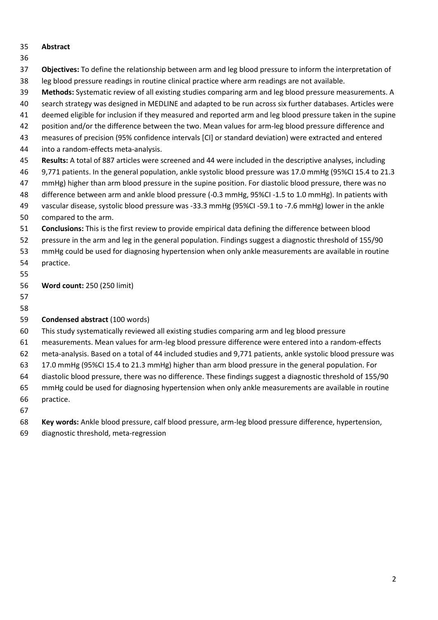## **Abstract**

### 

- **Objectives:** To define the relationship between arm and leg blood pressure to inform the interpretation of leg blood pressure readings in routine clinical practice where arm readings are not available.
- **Methods:** Systematic review of all existing studies comparing arm and leg blood pressure measurements. A
- search strategy was designed in MEDLINE and adapted to be run across six further databases. Articles were
- deemed eligible for inclusion if they measured and reported arm and leg blood pressure taken in the supine
- position and/or the difference between the two. Mean values for arm-leg blood pressure difference and measures of precision (95% confidence intervals [CI] or standard deviation) were extracted and entered
- into a random-effects meta-analysis.
	- **Results:** A total of 887 articles were screened and 44 were included in the descriptive analyses, including
	- 9,771 patients. In the general population, ankle systolic blood pressure was 17.0 mmHg (95%CI 15.4 to 21.3
	- mmHg) higher than arm blood pressure in the supine position. For diastolic blood pressure, there was no
	- difference between arm and ankle blood pressure (-0.3 mmHg, 95%CI -1.5 to 1.0 mmHg). In patients with
	- vascular disease, systolic blood pressure was -33.3 mmHg (95%CI -59.1 to -7.6 mmHg) lower in the ankle
	- compared to the arm.
	- **Conclusions:** This is the first review to provide empirical data defining the difference between blood
	- pressure in the arm and leg in the general population. Findings suggest a diagnostic threshold of 155/90
	- mmHg could be used for diagnosing hypertension when only ankle measurements are available in routine practice.
	-

**Word count:** 250 (250 limit)

 

## **Condensed abstract** (100 words)

- This study systematically reviewed all existing studies comparing arm and leg blood pressure
- measurements. Mean values for arm-leg blood pressure difference were entered into a random-effects
- meta-analysis. Based on a total of 44 included studies and 9,771 patients, ankle systolic blood pressure was
- 17.0 mmHg (95%CI 15.4 to 21.3 mmHg) higher than arm blood pressure in the general population. For
- diastolic blood pressure, there was no difference. These findings suggest a diagnostic threshold of 155/90
- mmHg could be used for diagnosing hypertension when only ankle measurements are available in routine
- practice.
- 

**Key words:** Ankle blood pressure, calf blood pressure, arm-leg blood pressure difference, hypertension,

diagnostic threshold, meta-regression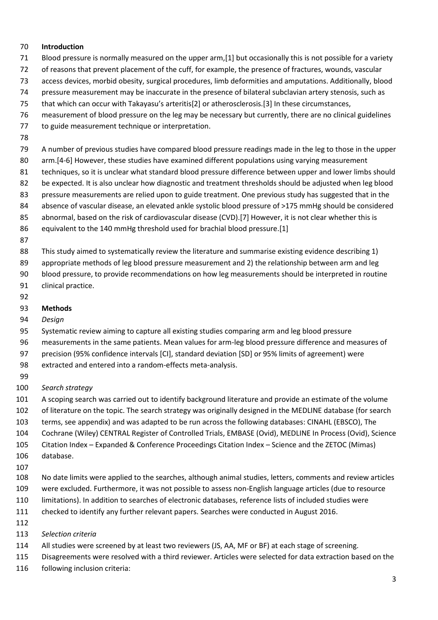#### **Introduction**

- Blood pressure is normally measured on the upper arm,[1] but occasionally this is not possible for a variety
- of reasons that prevent placement of the cuff, for example, the presence of fractures, wounds, vascular
- access devices, morbid obesity, surgical procedures, limb deformities and amputations. Additionally, blood
- pressure measurement may be inaccurate in the presence of bilateral subclavian artery stenosis, such as
- that which can occur with Takayasu's arteritis[2] or atherosclerosis.[3] In these circumstances,
- measurement of blood pressure on the leg may be necessary but currently, there are no clinical guidelines
- to guide measurement technique or interpretation.
- 
- A number of previous studies have compared blood pressure readings made in the leg to those in the upper
- arm.[4-6] However, these studies have examined different populations using varying measurement
- techniques, so it is unclear what standard blood pressure difference between upper and lower limbs should
- be expected. It is also unclear how diagnostic and treatment thresholds should be adjusted when leg blood
- 83 pressure measurements are relied upon to guide treatment. One previous study has suggested that in the
- absence of vascular disease, an elevated ankle systolic blood pressure of >175 mmHg should be considered
- 85 abnormal, based on the risk of cardiovascular disease (CVD). [7] However, it is not clear whether this is
- equivalent to the 140 mmHg threshold used for brachial blood pressure.[1]
- 

This study aimed to systematically review the literature and summarise existing evidence describing 1)

89 appropriate methods of leg blood pressure measurement and 2) the relationship between arm and leg

 blood pressure, to provide recommendations on how leg measurements should be interpreted in routine clinical practice.

- 
- 
- **Methods**
- *Design*

Systematic review aiming to capture all existing studies comparing arm and leg blood pressure

- measurements in the same patients. Mean values for arm-leg blood pressure difference and measures of
- precision (95% confidence intervals [CI], standard deviation [SD] or 95% limits of agreement) were
- extracted and entered into a random-effects meta-analysis.
- 
- *Search strategy*

A scoping search was carried out to identify background literature and provide an estimate of the volume

- of literature on the topic. The search strategy was originally designed in the MEDLINE database (for search
- terms, see appendix) and was adapted to be run across the following databases: CINAHL (EBSCO), The
- Cochrane (Wiley) CENTRAL Register of Controlled Trials, EMBASE (Ovid), MEDLINE In Process (Ovid), Science
- Citation Index Expanded & Conference Proceedings Citation Index Science and the ZETOC (Mimas)
- database.
- 
- No date limits were applied to the searches, although animal studies, letters, comments and review articles
- were excluded. Furthermore, it was not possible to assess non-English language articles (due to resource
- limitations). In addition to searches of electronic databases, reference lists of included studies were
- checked to identify any further relevant papers. Searches were conducted in August 2016.
- 
- *Selection criteria*
- All studies were screened by at least two reviewers (JS, AA, MF or BF) at each stage of screening.
- Disagreements were resolved with a third reviewer. Articles were selected for data extraction based on the
- following inclusion criteria: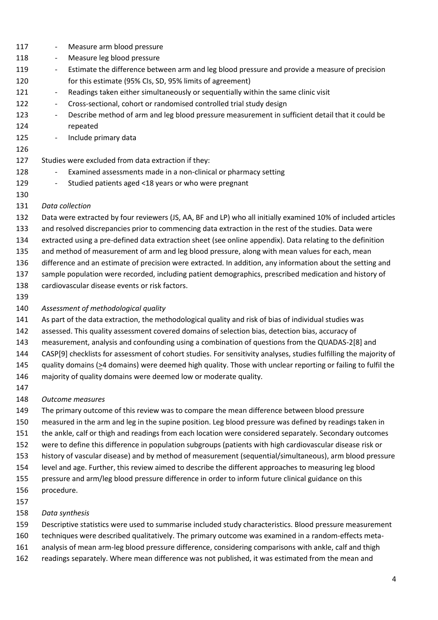- Measure arm blood pressure - Measure leg blood pressure 119 - Estimate the difference between arm and leg blood pressure and provide a measure of precision for this estimate (95% CIs, SD, 95% limits of agreement) 121 - Readings taken either simultaneously or sequentially within the same clinic visit 122 - Cross-sectional, cohort or randomised controlled trial study design 123 - Describe method of arm and leg blood pressure measurement in sufficient detail that it could be repeated 125 - Include primary data
	-

## Studies were excluded from data extraction if they:

- 128 Examined assessments made in a non-clinical or pharmacy setting
- 129 Studied patients aged <18 years or who were pregnant
- *Data collection*

Data were extracted by four reviewers (JS, AA, BF and LP) who all initially examined 10% of included articles

- and resolved discrepancies prior to commencing data extraction in the rest of the studies. Data were
- extracted using a pre-defined data extraction sheet (see online appendix). Data relating to the definition
- and method of measurement of arm and leg blood pressure, along with mean values for each, mean
- difference and an estimate of precision were extracted. In addition, any information about the setting and
- sample population were recorded, including patient demographics, prescribed medication and history of
- cardiovascular disease events or risk factors.

## *Assessment of methodological quality*

- As part of the data extraction, the methodological quality and risk of bias of individual studies was
- assessed. This quality assessment covered domains of selection bias, detection bias, accuracy of
- measurement, analysis and confounding using a combination of questions from the QUADAS-2[8] and
- CASP[9] checklists for assessment of cohort studies. For sensitivity analyses, studies fulfilling the majority of
- quality domains (>4 domains) were deemed high quality. Those with unclear reporting or failing to fulfil the
- majority of quality domains were deemed low or moderate quality.
- 
- *Outcome measures*
- The primary outcome of this review was to compare the mean difference between blood pressure
- measured in the arm and leg in the supine position. Leg blood pressure was defined by readings taken in
- the ankle, calf or thigh and readings from each location were considered separately. Secondary outcomes
- were to define this difference in population subgroups (patients with high cardiovascular disease risk or
- history of vascular disease) and by method of measurement (sequential/simultaneous), arm blood pressure
- level and age. Further, this review aimed to describe the different approaches to measuring leg blood
- pressure and arm/leg blood pressure difference in order to inform future clinical guidance on this
- procedure.
- 

## *Data synthesis*

- Descriptive statistics were used to summarise included study characteristics. Blood pressure measurement
- techniques were described qualitatively. The primary outcome was examined in a random-effects meta-
- analysis of mean arm-leg blood pressure difference, considering comparisons with ankle, calf and thigh
- readings separately. Where mean difference was not published, it was estimated from the mean and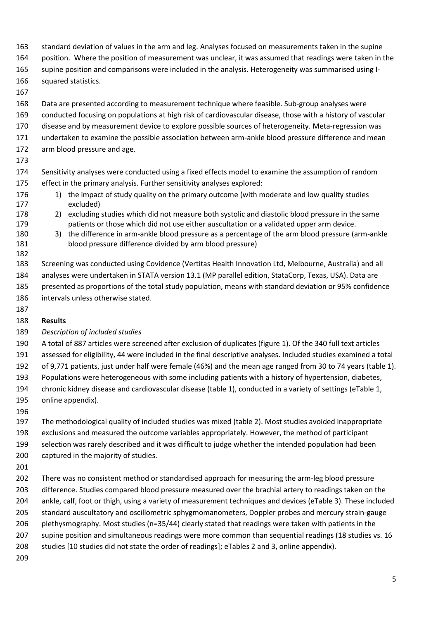- standard deviation of values in the arm and leg. Analyses focused on measurements taken in the supine
- position. Where the position of measurement was unclear, it was assumed that readings were taken in the
- supine position and comparisons were included in the analysis. Heterogeneity was summarised using I-
- squared statistics.
- 
- Data are presented according to measurement technique where feasible. Sub-group analyses were
- conducted focusing on populations at high risk of cardiovascular disease, those with a history of vascular
- disease and by measurement device to explore possible sources of heterogeneity. Meta-regression was
- undertaken to examine the possible association between arm-ankle blood pressure difference and mean
- arm blood pressure and age.
- 
- Sensitivity analyses were conducted using a fixed effects model to examine the assumption of random effect in the primary analysis. Further sensitivity analyses explored:
- 176 1) the impact of study quality on the primary outcome (with moderate and low quality studies excluded)
- 2) excluding studies which did not measure both systolic and diastolic blood pressure in the same patients or those which did not use either auscultation or a validated upper arm device.
- 3) the difference in arm-ankle blood pressure as a percentage of the arm blood pressure (arm-ankle blood pressure difference divided by arm blood pressure)
- Screening was conducted using Covidence (Vertitas Health Innovation Ltd, Melbourne, Australia) and all analyses were undertaken in STATA version 13.1 (MP parallel edition, StataCorp, Texas, USA). Data are presented as proportions of the total study population, means with standard deviation or 95% confidence intervals unless otherwise stated.
	-

## **Results**

## *Description of included studies*

- A total of 887 articles were screened after exclusion of duplicates (figure 1). Of the 340 full text articles assessed for eligibility, 44 were included in the final descriptive analyses. Included studies examined a total
- of 9,771 patients, just under half were female (46%) and the mean age ranged from 30 to 74 years (table 1).
- 193 Populations were heterogeneous with some including patients with a history of hypertension, diabetes, chronic kidney disease and cardiovascular disease (table 1), conducted in a variety of settings (eTable 1, online appendix).
- 
- The methodological quality of included studies was mixed (table 2). Most studies avoided inappropriate exclusions and measured the outcome variables appropriately. However, the method of participant selection was rarely described and it was difficult to judge whether the intended population had been captured in the majority of studies.
- 
- There was no consistent method or standardised approach for measuring the arm-leg blood pressure difference. Studies compared blood pressure measured over the brachial artery to readings taken on the ankle, calf, foot or thigh, using a variety of measurement techniques and devices (eTable 3). These included standard auscultatory and oscillometric sphygmomanometers, Doppler probes and mercury strain-gauge plethysmography. Most studies (n=35/44) clearly stated that readings were taken with patients in the 207 supine position and simultaneous readings were more common than sequential readings (18 studies vs. 16 studies [10 studies did not state the order of readings]; eTables 2 and 3, online appendix).
-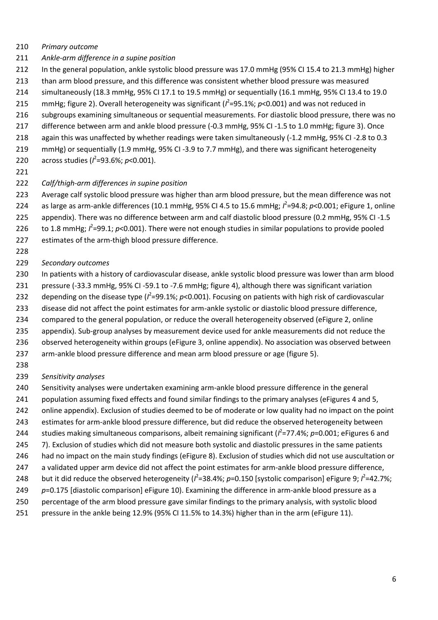#### *Primary outcome*

- *Ankle-arm difference in a supine position*
- 212 In the general population, ankle systolic blood pressure was 17.0 mmHg (95% CI 15.4 to 21.3 mmHg) higher
- than arm blood pressure, and this difference was consistent whether blood pressure was measured
- simultaneously (18.3 mmHg, 95% CI 17.1 to 19.5 mmHg) or sequentially (16.1 mmHg, 95% CI 13.4 to 19.0
- 215 mmHg; figure 2). Overall heterogeneity was significant  $(l^2=95.1\%; p<0.001)$  and was not reduced in
- subgroups examining simultaneous or sequential measurements. For diastolic blood pressure, there was no
- difference between arm and ankle blood pressure (-0.3 mmHg, 95% CI -1.5 to 1.0 mmHg; figure 3). Once
- again this was unaffected by whether readings were taken simultaneously (-1.2 mmHg, 95% CI -2.8 to 0.3
- mmHg) or sequentially (1.9 mmHg, 95% CI -3.9 to 7.7 mmHg), and there was significant heterogeneity
- 220 across studies ( $l^2$ =93.6%; *p*<0.001).
- 

#### *Calf/thigh-arm differences in supine position*

- Average calf systolic blood pressure was higher than arm blood pressure, but the mean difference was not 224 as large as arm-ankle differences (10.1 mmHg, 95% CI 4.5 to 15.6 mmHg;  $l^2$ =94.8; *p*<0.001; eFigure 1, online
- appendix). There was no difference between arm and calf diastolic blood pressure (0.2 mmHg, 95% CI -1.5 226 to 1.8 mmHg;  $l^2$ =99.1;  $p$ <0.001). There were not enough studies in similar populations to provide pooled
- estimates of the arm-thigh blood pressure difference.
- 

#### *Secondary outcomes*

- In patients with a history of cardiovascular disease, ankle systolic blood pressure was lower than arm blood
- pressure (-33.3 mmHg, 95% CI -59.1 to -7.6 mmHg; figure 4), although there was significant variation
- 232 depending on the disease type ( $l^2$ =99.1%;  $p$ <0.001). Focusing on patients with high risk of cardiovascular
- disease did not affect the point estimates for arm-ankle systolic or diastolic blood pressure difference,
- compared to the general population, or reduce the overall heterogeneity observed (eFigure 2, online
- appendix). Sub-group analyses by measurement device used for ankle measurements did not reduce the
- observed heterogeneity within groups (eFigure 3, online appendix). No association was observed between
- arm-ankle blood pressure difference and mean arm blood pressure or age (figure 5).
- 

#### *Sensitivity analyses*

- Sensitivity analyses were undertaken examining arm-ankle blood pressure difference in the general
- 241 population assuming fixed effects and found similar findings to the primary analyses (eFigures 4 and 5,
- online appendix). Exclusion of studies deemed to be of moderate or low quality had no impact on the point
- estimates for arm-ankle blood pressure difference, but did reduce the observed heterogeneity between
- 244 studies making simultaneous comparisons, albeit remaining significant ( $l^2$ =77.4%; p=0.001; eFigures 6 and
- 245 7). Exclusion of studies which did not measure both systolic and diastolic pressures in the same patients
- had no impact on the main study findings (eFigure 8). Exclusion of studies which did not use auscultation or
- 247 a validated upper arm device did not affect the point estimates for arm-ankle blood pressure difference,
- 248 but it did reduce the observed heterogeneity ( $l^2$ =38.4%; p=0.150 [systolic comparison] eFigure 9;  $l^2$ =42.7%;
- *p*=0.175 [diastolic comparison] eFigure 10). Examining the difference in arm-ankle blood pressure as a
- percentage of the arm blood pressure gave similar findings to the primary analysis, with systolic blood
- pressure in the ankle being 12.9% (95% CI 11.5% to 14.3%) higher than in the arm (eFigure 11).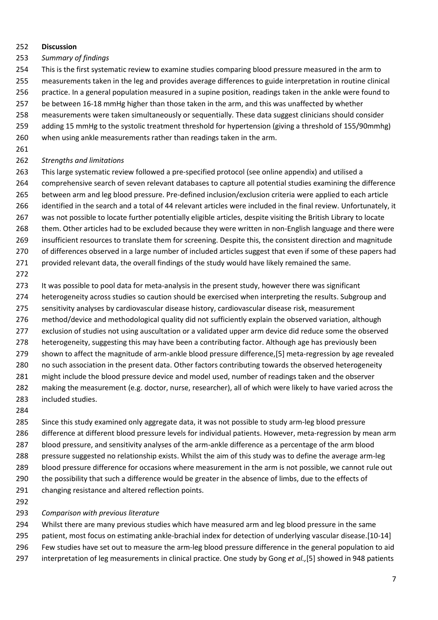#### **Discussion**

#### *Summary of findings*

This is the first systematic review to examine studies comparing blood pressure measured in the arm to

- measurements taken in the leg and provides average differences to guide interpretation in routine clinical
- practice. In a general population measured in a supine position, readings taken in the ankle were found to
- be between 16-18 mmHg higher than those taken in the arm, and this was unaffected by whether
- measurements were taken simultaneously or sequentially. These data suggest clinicians should consider
- adding 15 mmHg to the systolic treatment threshold for hypertension (giving a threshold of 155/90mmhg)
- when using ankle measurements rather than readings taken in the arm.
- 

#### *Strengths and limitations*

 This large systematic review followed a pre-specified protocol (see online appendix) and utilised a comprehensive search of seven relevant databases to capture all potential studies examining the difference between arm and leg blood pressure. Pre-defined inclusion/exclusion criteria were applied to each article identified in the search and a total of 44 relevant articles were included in the final review. Unfortunately, it was not possible to locate further potentially eligible articles, despite visiting the British Library to locate them. Other articles had to be excluded because they were written in non-English language and there were insufficient resources to translate them for screening. Despite this, the consistent direction and magnitude 270 of differences observed in a large number of included articles suggest that even if some of these papers had 271 provided relevant data, the overall findings of the study would have likely remained the same.

273 It was possible to pool data for meta-analysis in the present study, however there was significant heterogeneity across studies so caution should be exercised when interpreting the results. Subgroup and sensitivity analyses by cardiovascular disease history, cardiovascular disease risk, measurement method/device and methodological quality did not sufficiently explain the observed variation, although 277 exclusion of studies not using auscultation or a validated upper arm device did reduce some the observed heterogeneity, suggesting this may have been a contributing factor. Although age has previously been shown to affect the magnitude of arm-ankle blood pressure difference,[5] meta-regression by age revealed no such association in the present data. Other factors contributing towards the observed heterogeneity might include the blood pressure device and model used, number of readings taken and the observer making the measurement (e.g. doctor, nurse, researcher), all of which were likely to have varied across the included studies.

 Since this study examined only aggregate data, it was not possible to study arm-leg blood pressure difference at different blood pressure levels for individual patients. However, meta-regression by mean arm blood pressure, and sensitivity analyses of the arm-ankle difference as a percentage of the arm blood pressure suggested no relationship exists. Whilst the aim of this study was to define the average arm-leg blood pressure difference for occasions where measurement in the arm is not possible, we cannot rule out 290 the possibility that such a difference would be greater in the absence of limbs, due to the effects of changing resistance and altered reflection points.

#### *Comparison with previous literature*

 Whilst there are many previous studies which have measured arm and leg blood pressure in the same patient, most focus on estimating ankle-brachial index for detection of underlying vascular disease.[10-14] Few studies have set out to measure the arm-leg blood pressure difference in the general population to aid interpretation of leg measurements in clinical practice. One study by Gong *et al.,*[5] showed in 948 patients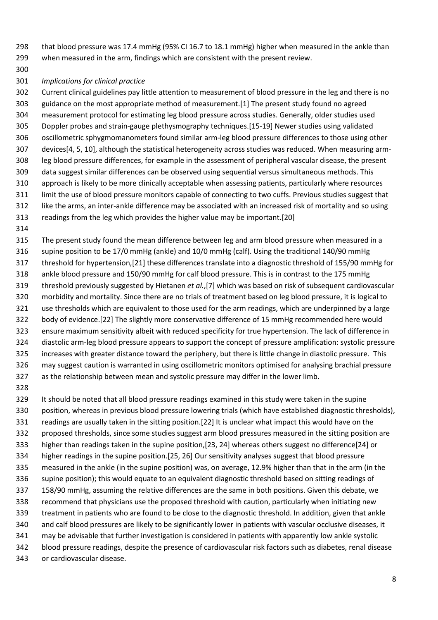that blood pressure was 17.4 mmHg (95% CI 16.7 to 18.1 mmHg) higher when measured in the ankle than when measured in the arm, findings which are consistent with the present review.

#### *Implications for clinical practice*

 Current clinical guidelines pay little attention to measurement of blood pressure in the leg and there is no guidance on the most appropriate method of measurement.[1] The present study found no agreed measurement protocol for estimating leg blood pressure across studies. Generally, older studies used Doppler probes and strain-gauge plethysmography techniques.[15-19] Newer studies using validated oscillometric sphygmomanometers found similar arm-leg blood pressure differences to those using other devices[4, 5, 10], although the statistical heterogeneity across studies was reduced. When measuring arm- leg blood pressure differences, for example in the assessment of peripheral vascular disease, the present data suggest similar differences can be observed using sequential versus simultaneous methods. This approach is likely to be more clinically acceptable when assessing patients, particularly where resources limit the use of blood pressure monitors capable of connecting to two cuffs. Previous studies suggest that like the arms, an inter-ankle difference may be associated with an increased risk of mortality and so using readings from the leg which provides the higher value may be important.[20]

 The present study found the mean difference between leg and arm blood pressure when measured in a supine position to be 17/0 mmHg (ankle) and 10/0 mmHg (calf). Using the traditional 140/90 mmHg threshold for hypertension,[21] these differences translate into a diagnostic threshold of 155/90 mmHg for ankle blood pressure and 150/90 mmHg for calf blood pressure. This is in contrast to the 175 mmHg threshold previously suggested by Hietanen *et al.*,[7] which was based on risk of subsequent cardiovascular morbidity and mortality. Since there are no trials of treatment based on leg blood pressure, it is logical to use thresholds which are equivalent to those used for the arm readings, which are underpinned by a large body of evidence.[22] The slightly more conservative difference of 15 mmHg recommended here would ensure maximum sensitivity albeit with reduced specificity for true hypertension. The lack of difference in diastolic arm-leg blood pressure appears to support the concept of pressure amplification: systolic pressure increases with greater distance toward the periphery, but there is little change in diastolic pressure. This may suggest caution is warranted in using oscillometric monitors optimised for analysing brachial pressure as the relationship between mean and systolic pressure may differ in the lower limb.

 It should be noted that all blood pressure readings examined in this study were taken in the supine position, whereas in previous blood pressure lowering trials (which have established diagnostic thresholds), readings are usually taken in the sitting position.[22] It is unclear what impact this would have on the proposed thresholds, since some studies suggest arm blood pressures measured in the sitting position are higher than readings taken in the supine position,[23, 24] whereas others suggest no difference[24] or higher readings in the supine position.[25, 26] Our sensitivity analyses suggest that blood pressure measured in the ankle (in the supine position) was, on average, 12.9% higher than that in the arm (in the supine position); this would equate to an equivalent diagnostic threshold based on sitting readings of 158/90 mmHg, assuming the relative differences are the same in both positions. Given this debate, we recommend that physicians use the proposed threshold with caution, particularly when initiating new treatment in patients who are found to be close to the diagnostic threshold. In addition, given that ankle and calf blood pressures are likely to be significantly lower in patients with vascular occlusive diseases, it may be advisable that further investigation is considered in patients with apparently low ankle systolic blood pressure readings, despite the presence of cardiovascular risk factors such as diabetes, renal disease or cardiovascular disease.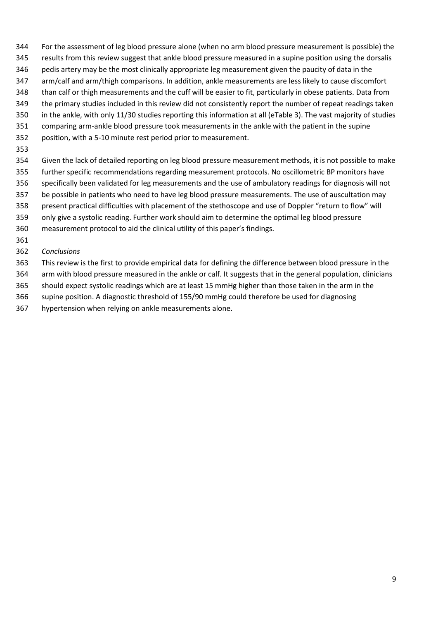- For the assessment of leg blood pressure alone (when no arm blood pressure measurement is possible) the
- 345 results from this review suggest that ankle blood pressure measured in a supine position using the dorsalis
- pedis artery may be the most clinically appropriate leg measurement given the paucity of data in the
- arm/calf and arm/thigh comparisons. In addition, ankle measurements are less likely to cause discomfort
- than calf or thigh measurements and the cuff will be easier to fit, particularly in obese patients. Data from
- the primary studies included in this review did not consistently report the number of repeat readings taken
- in the ankle, with only 11/30 studies reporting this information at all (eTable 3). The vast majority of studies
- comparing arm-ankle blood pressure took measurements in the ankle with the patient in the supine
- position, with a 5-10 minute rest period prior to measurement.
- 
- Given the lack of detailed reporting on leg blood pressure measurement methods, it is not possible to make further specific recommendations regarding measurement protocols. No oscillometric BP monitors have specifically been validated for leg measurements and the use of ambulatory readings for diagnosis will not be possible in patients who need to have leg blood pressure measurements. The use of auscultation may present practical difficulties with placement of the stethoscope and use of Doppler "return to flow" will only give a systolic reading. Further work should aim to determine the optimal leg blood pressure
- measurement protocol to aid the clinical utility of this paper's findings.
- 
- *Conclusions*
- This review is the first to provide empirical data for defining the difference between blood pressure in the arm with blood pressure measured in the ankle or calf. It suggests that in the general population, clinicians
- should expect systolic readings which are at least 15 mmHg higher than those taken in the arm in the
- supine position. A diagnostic threshold of 155/90 mmHg could therefore be used for diagnosing
- hypertension when relying on ankle measurements alone.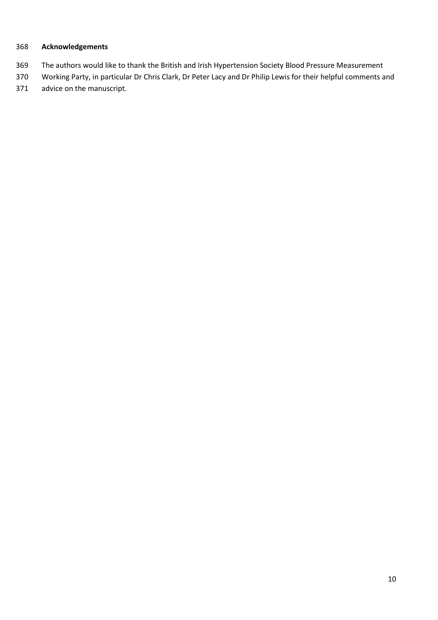## **Acknowledgements**

- The authors would like to thank the British and Irish Hypertension Society Blood Pressure Measurement
- Working Party, in particular Dr Chris Clark, Dr Peter Lacy and Dr Philip Lewis for their helpful comments and
- advice on the manuscript.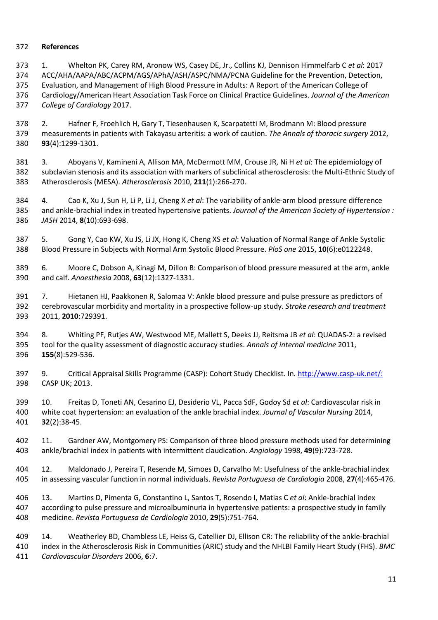#### **References**

 1. Whelton PK, Carey RM, Aronow WS, Casey DE, Jr., Collins KJ, Dennison Himmelfarb C *et al*: 2017 ACC/AHA/AAPA/ABC/ACPM/AGS/APhA/ASH/ASPC/NMA/PCNA Guideline for the Prevention, Detection, Evaluation, and Management of High Blood Pressure in Adults: A Report of the American College of Cardiology/American Heart Association Task Force on Clinical Practice Guidelines. *Journal of the American College of Cardiology* 2017.

 2. Hafner F, Froehlich H, Gary T, Tiesenhausen K, Scarpatetti M, Brodmann M: Blood pressure measurements in patients with Takayasu arteritis: a work of caution. *The Annals of thoracic surgery* 2012, **93**(4):1299-1301.

 3. Aboyans V, Kamineni A, Allison MA, McDermott MM, Crouse JR, Ni H *et al*: The epidemiology of subclavian stenosis and its association with markers of subclinical atherosclerosis: the Multi-Ethnic Study of Atherosclerosis (MESA). *Atherosclerosis* 2010, **211**(1):266-270.

 4. Cao K, Xu J, Sun H, Li P, Li J, Cheng X *et al*: The variability of ankle-arm blood pressure difference and ankle-brachial index in treated hypertensive patients. *Journal of the American Society of Hypertension : JASH* 2014, **8**(10):693-698.

 5. Gong Y, Cao KW, Xu JS, Li JX, Hong K, Cheng XS *et al*: Valuation of Normal Range of Ankle Systolic Blood Pressure in Subjects with Normal Arm Systolic Blood Pressure. *PloS one* 2015, **10**(6):e0122248.

 6. Moore C, Dobson A, Kinagi M, Dillon B: Comparison of blood pressure measured at the arm, ankle and calf. *Anaesthesia* 2008, **63**(12):1327-1331.

 7. Hietanen HJ, Paakkonen R, Salomaa V: Ankle blood pressure and pulse pressure as predictors of cerebrovascular morbidity and mortality in a prospective follow-up study. *Stroke research and treatment*  2011, **2010**:729391.

 8. Whiting PF, Rutjes AW, Westwood ME, Mallett S, Deeks JJ, Reitsma JB *et al*: QUADAS-2: a revised tool for the quality assessment of diagnostic accuracy studies. *Annals of internal medicine* 2011, **155**(8):529-536.

 9. Critical Appraisal Skills Programme (CASP): Cohort Study Checklist. In*.* <http://www.casp-uk.net/:> CASP UK; 2013.

 10. Freitas D, Toneti AN, Cesarino EJ, Desiderio VL, Pacca SdF, Godoy Sd *et al*: Cardiovascular risk in white coat hypertension: an evaluation of the ankle brachial index. *Journal of Vascular Nursing* 2014, **32**(2):38-45.

 11. Gardner AW, Montgomery PS: Comparison of three blood pressure methods used for determining ankle/brachial index in patients with intermittent claudication. *Angiology* 1998, **49**(9):723-728.

 12. Maldonado J, Pereira T, Resende M, Simoes D, Carvalho M: Usefulness of the ankle-brachial index in assessing vascular function in normal individuals. *Revista Portuguesa de Cardiologia* 2008, **27**(4):465-476.

 13. Martins D, Pimenta G, Constantino L, Santos T, Rosendo I, Matias C *et al*: Ankle-brachial index according to pulse pressure and microalbuminuria in hypertensive patients: a prospective study in family medicine. *Revista Portuguesa de Cardiologia* 2010, **29**(5):751-764.

 14. Weatherley BD, Chambless LE, Heiss G, Catellier DJ, Ellison CR: The reliability of the ankle-brachial index in the Atherosclerosis Risk in Communities (ARIC) study and the NHLBI Family Heart Study (FHS). *BMC Cardiovascular Disorders* 2006, **6**:7.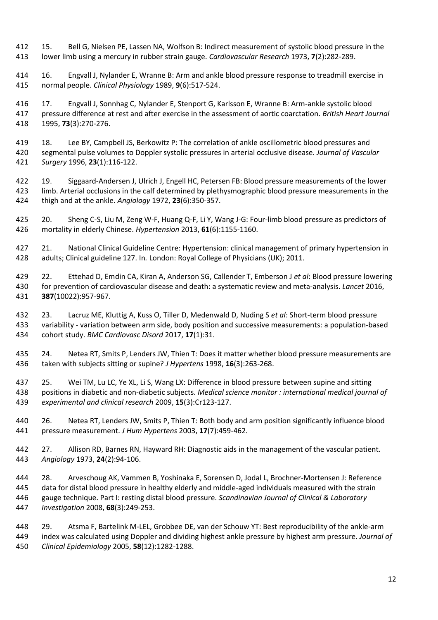15. Bell G, Nielsen PE, Lassen NA, Wolfson B: Indirect measurement of systolic blood pressure in the lower limb using a mercury in rubber strain gauge. *Cardiovascular Research* 1973, **7**(2):282-289.

 16. Engvall J, Nylander E, Wranne B: Arm and ankle blood pressure response to treadmill exercise in normal people. *Clinical Physiology* 1989, **9**(6):517-524.

 17. Engvall J, Sonnhag C, Nylander E, Stenport G, Karlsson E, Wranne B: Arm-ankle systolic blood pressure difference at rest and after exercise in the assessment of aortic coarctation. *British Heart Journal* 1995, **73**(3):270-276.

 18. Lee BY, Campbell JS, Berkowitz P: The correlation of ankle oscillometric blood pressures and segmental pulse volumes to Doppler systolic pressures in arterial occlusive disease. *Journal of Vascular Surgery* 1996, **23**(1):116-122.

 19. Siggaard-Andersen J, Ulrich J, Engell HC, Petersen FB: Blood pressure measurements of the lower limb. Arterial occlusions in the calf determined by plethysmographic blood pressure measurements in the thigh and at the ankle. *Angiology* 1972, **23**(6):350-357.

 20. Sheng C-S, Liu M, Zeng W-F, Huang Q-F, Li Y, Wang J-G: Four-limb blood pressure as predictors of mortality in elderly Chinese. *Hypertension* 2013, **61**(6):1155-1160.

 21. National Clinical Guideline Centre: Hypertension: clinical management of primary hypertension in adults; Clinical guideline 127. In*.* London: Royal College of Physicians (UK); 2011.

 22. Ettehad D, Emdin CA, Kiran A, Anderson SG, Callender T, Emberson J *et al*: Blood pressure lowering for prevention of cardiovascular disease and death: a systematic review and meta-analysis. *Lancet* 2016, **387**(10022):957-967.

 23. Lacruz ME, Kluttig A, Kuss O, Tiller D, Medenwald D, Nuding S *et al*: Short-term blood pressure variability - variation between arm side, body position and successive measurements: a population-based cohort study. *BMC Cardiovasc Disord* 2017, **17**(1):31.

 24. Netea RT, Smits P, Lenders JW, Thien T: Does it matter whether blood pressure measurements are taken with subjects sitting or supine? *J Hypertens* 1998, **16**(3):263-268.

 25. Wei TM, Lu LC, Ye XL, Li S, Wang LX: Difference in blood pressure between supine and sitting positions in diabetic and non-diabetic subjects. *Medical science monitor : international medical journal of experimental and clinical research* 2009, **15**(3):Cr123-127.

 26. Netea RT, Lenders JW, Smits P, Thien T: Both body and arm position significantly influence blood pressure measurement. *J Hum Hypertens* 2003, **17**(7):459-462.

 27. Allison RD, Barnes RN, Hayward RH: Diagnostic aids in the management of the vascular patient. *Angiology* 1973, **24**(2):94-106.

 28. Arveschoug AK, Vammen B, Yoshinaka E, Sorensen D, Jodal L, Brochner-Mortensen J: Reference data for distal blood pressure in healthy elderly and middle-aged individuals measured with the strain gauge technique. Part I: resting distal blood pressure. *Scandinavian Journal of Clinical & Laboratory Investigation* 2008, **68**(3):249-253.

 29. Atsma F, Bartelink M-LEL, Grobbee DE, van der Schouw YT: Best reproducibility of the ankle-arm index was calculated using Doppler and dividing highest ankle pressure by highest arm pressure. *Journal of Clinical Epidemiology* 2005, **58**(12):1282-1288.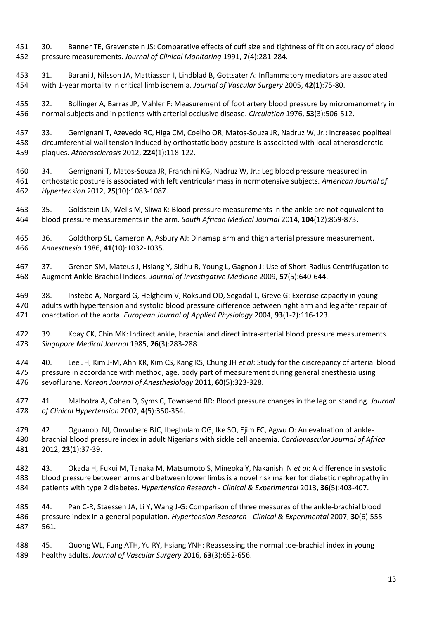30. Banner TE, Gravenstein JS: Comparative effects of cuff size and tightness of fit on accuracy of blood pressure measurements. *Journal of Clinical Monitoring* 1991, **7**(4):281-284.

 31. Barani J, Nilsson JA, Mattiasson I, Lindblad B, Gottsater A: Inflammatory mediators are associated with 1-year mortality in critical limb ischemia. *Journal of Vascular Surgery* 2005, **42**(1):75-80.

 32. Bollinger A, Barras JP, Mahler F: Measurement of foot artery blood pressure by micromanometry in normal subjects and in patients with arterial occlusive disease. *Circulation* 1976, **53**(3):506-512.

 33. Gemignani T, Azevedo RC, Higa CM, Coelho OR, Matos-Souza JR, Nadruz W, Jr.: Increased popliteal circumferential wall tension induced by orthostatic body posture is associated with local atherosclerotic plaques. *Atherosclerosis* 2012, **224**(1):118-122.

 34. Gemignani T, Matos-Souza JR, Franchini KG, Nadruz W, Jr.: Leg blood pressure measured in orthostatic posture is associated with left ventricular mass in normotensive subjects. *American Journal of Hypertension* 2012, **25**(10):1083-1087.

 35. Goldstein LN, Wells M, Sliwa K: Blood pressure measurements in the ankle are not equivalent to blood pressure measurements in the arm. *South African Medical Journal* 2014, **104**(12):869-873.

 36. Goldthorp SL, Cameron A, Asbury AJ: Dinamap arm and thigh arterial pressure measurement. *Anaesthesia* 1986, **41**(10):1032-1035.

 37. Grenon SM, Mateus J, Hsiang Y, Sidhu R, Young L, Gagnon J: Use of Short-Radius Centrifugation to Augment Ankle-Brachial Indices. *Journal of Investigative Medicine* 2009, **57**(5):640-644.

 38. Instebo A, Norgard G, Helgheim V, Roksund OD, Segadal L, Greve G: Exercise capacity in young adults with hypertension and systolic blood pressure difference between right arm and leg after repair of coarctation of the aorta. *European Journal of Applied Physiology* 2004, **93**(1-2):116-123.

472 39. Koay CK, Chin MK: Indirect ankle, brachial and direct intra-arterial blood pressure measurements. *Singapore Medical Journal* 1985, **26**(3):283-288.

 40. Lee JH, Kim J-M, Ahn KR, Kim CS, Kang KS, Chung JH *et al*: Study for the discrepancy of arterial blood pressure in accordance with method, age, body part of measurement during general anesthesia using sevoflurane. *Korean Journal of Anesthesiology* 2011, **60**(5):323-328.

 41. Malhotra A, Cohen D, Syms C, Townsend RR: Blood pressure changes in the leg on standing. *Journal of Clinical Hypertension* 2002, **4**(5):350-354.

 42. Oguanobi NI, Onwubere BJC, Ibegbulam OG, Ike SO, Ejim EC, Agwu O: An evaluation of ankle- brachial blood pressure index in adult Nigerians with sickle cell anaemia. *Cardiovascular Journal of Africa*  2012, **23**(1):37-39.

 43. Okada H, Fukui M, Tanaka M, Matsumoto S, Mineoka Y, Nakanishi N *et al*: A difference in systolic blood pressure between arms and between lower limbs is a novel risk marker for diabetic nephropathy in patients with type 2 diabetes. *Hypertension Research - Clinical & Experimental* 2013, **36**(5):403-407.

 44. Pan C-R, Staessen JA, Li Y, Wang J-G: Comparison of three measures of the ankle-brachial blood pressure index in a general population. *Hypertension Research - Clinical & Experimental* 2007, **30**(6):555- 561.

 45. Quong WL, Fung ATH, Yu RY, Hsiang YNH: Reassessing the normal toe-brachial index in young healthy adults. *Journal of Vascular Surgery* 2016, **63**(3):652-656.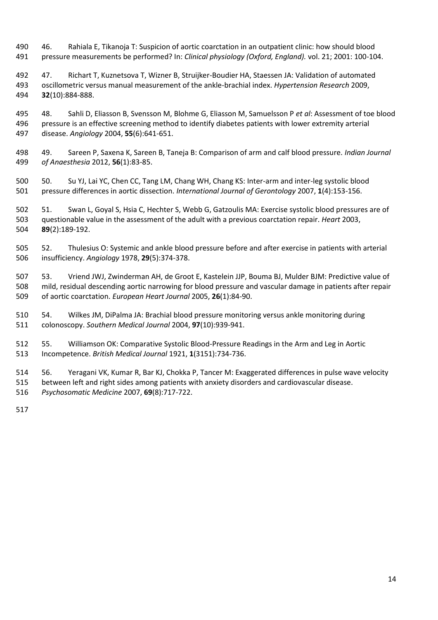- 46. Rahiala E, Tikanoja T: Suspicion of aortic coarctation in an outpatient clinic: how should blood pressure measurements be performed? In: *Clinical physiology (Oxford, England).* vol. 21; 2001: 100-104.
- 47. Richart T, Kuznetsova T, Wizner B, Struijker-Boudier HA, Staessen JA: Validation of automated oscillometric versus manual measurement of the ankle-brachial index. *Hypertension Research* 2009, **32**(10):884-888.
- 48. Sahli D, Eliasson B, Svensson M, Blohme G, Eliasson M, Samuelsson P *et al*: Assessment of toe blood pressure is an effective screening method to identify diabetes patients with lower extremity arterial disease. *Angiology* 2004, **55**(6):641-651.
- 49. Sareen P, Saxena K, Sareen B, Taneja B: Comparison of arm and calf blood pressure. *Indian Journal of Anaesthesia* 2012, **56**(1):83-85.
- 50. Su YJ, Lai YC, Chen CC, Tang LM, Chang WH, Chang KS: Inter-arm and inter-leg systolic blood pressure differences in aortic dissection. *International Journal of Gerontology* 2007, **1**(4):153-156.
- 51. Swan L, Goyal S, Hsia C, Hechter S, Webb G, Gatzoulis MA: Exercise systolic blood pressures are of questionable value in the assessment of the adult with a previous coarctation repair. *Heart* 2003, **89**(2):189-192.
- 52. Thulesius O: Systemic and ankle blood pressure before and after exercise in patients with arterial insufficiency. *Angiology* 1978, **29**(5):374-378.
- 53. Vriend JWJ, Zwinderman AH, de Groot E, Kastelein JJP, Bouma BJ, Mulder BJM: Predictive value of mild, residual descending aortic narrowing for blood pressure and vascular damage in patients after repair of aortic coarctation. *European Heart Journal* 2005, **26**(1):84-90.
- 54. Wilkes JM, DiPalma JA: Brachial blood pressure monitoring versus ankle monitoring during colonoscopy. *Southern Medical Journal* 2004, **97**(10):939-941.
- 55. Williamson OK: Comparative Systolic Blood-Pressure Readings in the Arm and Leg in Aortic Incompetence. *British Medical Journal* 1921, **1**(3151):734-736.
- 56. Yeragani VK, Kumar R, Bar KJ, Chokka P, Tancer M: Exaggerated differences in pulse wave velocity between left and right sides among patients with anxiety disorders and cardiovascular disease. *Psychosomatic Medicine* 2007, **69**(8):717-722.
-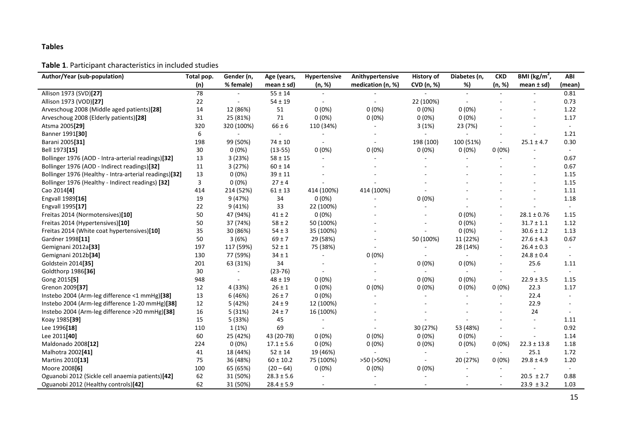#### **Tables**

#### **Table 1**. Participant characteristics in included studies

| Author/Year (sub-population)                           | Total pop. | Gender (n,               | Age (years,    | Hypertensive   | Anithypertensive  | History of     | Diabetes (n, | <b>CKD</b>               | BMI ( $\text{kg/m}^2$ ,  | ABI    |
|--------------------------------------------------------|------------|--------------------------|----------------|----------------|-------------------|----------------|--------------|--------------------------|--------------------------|--------|
|                                                        | (n)        | % female)                | mean $\pm$ sd) | (n, %)         | medication (n, %) | CVD (n, %)     | %)           | (n, %)                   | mean $\pm$ sd)           | (mean) |
| Allison 1973 (SVD)[27]                                 | 78         |                          | $55 \pm 14$    |                |                   |                | $\sim$       |                          |                          | 0.81   |
| Allison 1973 (VOD)[27]                                 | 22         |                          | $54 \pm 19$    |                | $\sim$            | 22 (100%)      |              |                          |                          | 0.73   |
| Arveschoug 2008 (Middle aged patients)[28]             | 14         | 12 (86%)                 | 51             | $0(0\%)$       | $0(0\%)$          | $0(0\%)$       | $0(0\%)$     |                          |                          | 1.22   |
| Arveschoug 2008 (Elderly patients)[28]                 | 31         | 25 (81%)                 | 71             | 0(0%)          | 0(0%)             | $0(0\%)$       | 0(0%)        |                          | $\overline{\phantom{a}}$ | 1.17   |
| Atsma 2005[29]                                         | 320        | 320 (100%)               | $66 \pm 6$     | 110 (34%)      |                   | 3(1%)          | 23 (7%)      |                          |                          | $\sim$ |
| Banner 1991[30]                                        | 6          | $\overline{\phantom{a}}$ | $\sim$         |                |                   | $\blacksquare$ | $\sim$       |                          |                          | 1.21   |
| Barani 2005 <sup>[31]</sup>                            | 198        | 99 (50%)                 | $74 \pm 10$    | $\sim$         | $\sim$            | 198 (100)      | 100 (51%)    | $\sim$                   | $25.1 \pm 4.7$           | 0.30   |
| Bell 1973[15]                                          | 30         | $0(0\%)$                 | $(13-55)$      | 0(0%)          | 0(0%)             | $0(0\%)$       | $0(0\%)$     | 0(0%)                    |                          | $\sim$ |
| Bollinger 1976 (AOD - Intra-arterial readings)[32]     | 13         | 3(23%)                   | $58 \pm 15$    | $\sim$         |                   |                |              | $\overline{\phantom{a}}$ |                          | 0.67   |
| Bollinger 1976 (AOD - Indirect readings)[32]           | 11         | 3(27%)                   | $60 \pm 14$    |                |                   |                |              |                          |                          | 0.67   |
| Bollinger 1976 (Healthy - Intra-arterial readings)[32] | 13         | $0(0\%)$                 | $39 \pm 11$    |                |                   |                |              |                          |                          | 1.15   |
| Bollinger 1976 (Healthy - Indirect readings) [32]      | 3          | $0(0\%)$                 | $27 \pm 4$     |                |                   |                |              |                          |                          | 1.15   |
| Cao 2014[4]                                            | 414        | 214 (52%)                | $61 \pm 13$    | 414 (100%)     | 414 (100%)        |                |              |                          |                          | 1.11   |
| Engvall 1989[16]                                       | 19         | 9 (47%)                  | 34             | $0(0\%)$       |                   | $0(0\%)$       |              |                          |                          | 1.18   |
| Engvall 1995[17]                                       | 22         | 9(41%)                   | 33             | 22 (100%)      |                   |                |              |                          |                          | $\sim$ |
| Freitas 2014 (Normotensives)[10]                       | 50         | 47 (94%)                 | $41 \pm 2$     | 0(0%)          |                   |                | $0(0\%)$     | $\sim$                   | $28.1 \pm 0.76$          | 1.15   |
| Freitas 2014 (Hypertensives)[10]                       | 50         | 37 (74%)                 | $58 \pm 2$     | 50 (100%)      |                   |                | $0(0\%)$     | $\sim$                   | $31.7 \pm 1.1$           | 1.12   |
| Freitas 2014 (White coat hypertensives)[10]            | 35         | 30 (86%)                 | $54 \pm 3$     | 35 (100%)      |                   |                | 0(0%)        | $\blacksquare$           | $30.6 \pm 1.2$           | 1.13   |
| Gardner 1998[11]                                       | 50         | 3(6%)                    | $69 \pm 7$     | 29 (58%)       | $\sim$            | 50 (100%)      | 11 (22%)     | $\sim$                   | $27.6 \pm 4.3$           | 0.67   |
| Gemignani 2012a[33]                                    | 197        | 117 (59%)                | $52 \pm 1$     | 75 (38%)       |                   |                | 28 (14%)     | $\sim$                   | $26.4 \pm 0.3$           | $\sim$ |
| Gemignani 2012b <sup>[34]</sup>                        | 130        | 77 (59%)                 | $34 \pm 1$     |                | 0(0%)             |                |              | $\overline{\phantom{a}}$ | $24.8 \pm 0.4$           |        |
| Goldstein 2014[35]                                     | 201        | 63 (31%)                 | 34             |                |                   | $0(0\%)$       | $0(0\%)$     | $\blacksquare$           | 25.6                     | 1.11   |
| Goldthorp 1986[36]                                     | 30         |                          | $(23-76)$      |                |                   |                |              |                          |                          |        |
| Gong 2015[5]                                           | 948        |                          | $48 \pm 19$    | $0(0\%)$       |                   | $0(0\%)$       | $0(0\%)$     | $\sim$                   | $22.9 \pm 3.5$           | 1.15   |
| Grenon 2009[37]                                        | 12         | 4 (33%)                  | $26 \pm 1$     | 0(0%)          | 0(0%)             | $0(0\%)$       | $0(0\%)$     | $0(0\%)$                 | 22.3                     | 1.17   |
| Instebo 2004 (Arm-leg difference <1 mmHg)[38]          | 13         | 6 (46%)                  | $26 \pm 7$     | $0(0\%)$       |                   |                |              |                          | 22.4                     |        |
| Instebo 2004 (Arm-leg difference 1-20 mmHg)[38]        | 12         | 5 (42%)                  | $24 \pm 9$     | 12 (100%)      |                   |                |              |                          | 22.9                     |        |
| Instebo 2004 (Arm-leg difference >20 mmHg)[38]         | 16         | 5(31%)                   | $24 \pm 7$     | 16 (100%)      |                   |                |              |                          | 24                       |        |
| Koay 1985[39]                                          | 15         | 5 (33%)                  | 45             |                |                   |                |              |                          | $\sim$                   | 1.11   |
| Lee 1996[18]                                           | 110        | 1(1%)                    | 69             | $\blacksquare$ |                   | 30 (27%)       | 53 (48%)     |                          |                          | 0.92   |
| Lee 2011[40]                                           | 60         | 25 (42%)                 | 43 (20-78)     | $0(0\%)$       | $0(0\%)$          | $0(0\%)$       | $0(0\%)$     | $\overline{\phantom{a}}$ |                          | 1.14   |
| Maldonado 2008[12]                                     | 224        | $0(0\%)$                 | $17.1 \pm 5.6$ | $0(0\%)$       | 0(0%)             | $0(0\%)$       | $0(0\%)$     | 0(0%)                    | $22.3 \pm 13.8$          | 1.18   |
| Malhotra 2002[41]                                      | 41         | 18 (44%)                 | $52 \pm 14$    | 19 (46%)       |                   | $\sim$         | $\sim$       | $\sim$                   | 25.1                     | 1.72   |
| Martins 2010[13]                                       | 75         | 36 (48%)                 | $60 \pm 10.2$  | 75 (100%)      | >50 (>50%)        |                | 20 (27%)     | 0(0%)                    | $29.8 \pm 4.9$           | 1.20   |
| Moore 2008[6]                                          | 100        | 65 (65%)                 | $(20 - 64)$    | $0(0\%)$       | 0(0%)             | $0(0\%)$       |              | $\overline{\phantom{a}}$ |                          |        |
| Oguanobi 2012 (Sickle cell anaemia patients)[42]       | 62         | 31 (50%)                 | $28.3 \pm 5.6$ |                |                   |                |              |                          | $20.5 \pm 2.7$           | 0.88   |
| Oguanobi 2012 (Healthy controls)[42]                   | 62         | 31 (50%)                 | $28.4 \pm 5.9$ |                |                   |                |              |                          | $23.9 \pm 3.2$           | 1.03   |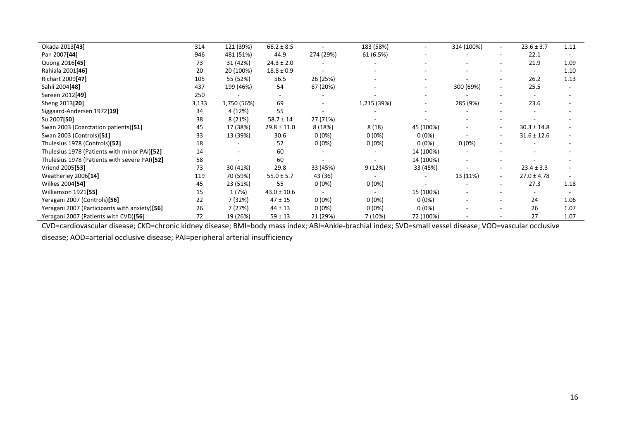| Okada 2013[43]                                | 314   | 121 (39%)   | $66.2 \pm 8.5$  |           | 183 (58%)   |           | 314 (100%)               | $\overline{\phantom{a}}$ | $23.6 \pm 3.7$           | 1.11 |
|-----------------------------------------------|-------|-------------|-----------------|-----------|-------------|-----------|--------------------------|--------------------------|--------------------------|------|
| Pan 2007[44]                                  | 946   | 481 (51%)   | 44.9            | 274 (29%) | 61 (6.5%)   |           |                          | $\overline{\phantom{a}}$ | 22.1                     |      |
| Quong 2016 <sup>[45]</sup>                    | 73    | 31 (42%)    | $24.3 \pm 2.0$  |           |             |           |                          |                          | 21.9                     | 1.09 |
| Rahiala 2001 <sup>[46]</sup>                  | 20    | 20 (100%)   | $18.8 \pm 0.9$  |           |             |           |                          | $\sim$                   | $\overline{\phantom{a}}$ | 1.10 |
| Richart 2009[47]                              | 105   | 55 (52%)    | 56.5            | 26 (25%)  |             |           |                          | $\sim$                   | 26.2                     | 1.13 |
| Sahli 2004[48]                                | 437   | 199 (46%)   | 54              | 87 (20%)  |             |           | 300 (69%)                | $\overline{\phantom{a}}$ | 25.5                     |      |
| Sareen 2012[49]                               | 250   |             |                 |           |             |           |                          |                          |                          |      |
| Sheng 2013 <sup>[20]</sup>                    | 3,133 | 1,750 (56%) | 69              |           | 1,215 (39%) |           | 285 (9%)                 | $\overline{\phantom{a}}$ | 23.6                     |      |
| Siggaard-Andersen 1972[19]                    | 34    | 4 (12%)     | 55              |           |             |           |                          |                          |                          |      |
| Su 2007[50]                                   | 38    | 8(21%)      | $58.7 \pm 14$   | 27 (71%)  |             |           |                          |                          |                          |      |
| Swan 2003 (Coarctation patients)[51]          | 45    | 17 (38%)    | $29.8 \pm 11.0$ | 8 (18%)   | 8(18)       | 45 (100%) | $\overline{\phantom{a}}$ | $\sim$                   | $30.3 \pm 14.8$          |      |
| Swan 2003 (Controls)[51]                      | 33    | 13 (39%)    | 30.6            | $0(0\%)$  | $0(0\%)$    | $0(0\%)$  |                          | $\overline{\phantom{a}}$ | $31.6 \pm 12.6$          |      |
| Thulesius 1978 (Controls)[52]                 | 18    |             | 52              | $0(0\%)$  | $0(0\%)$    | $0(0\%)$  | $0(0\%)$                 |                          |                          |      |
| Thulesius 1978 (Patients with minor PAI)[52]  | 14    |             | 60              |           |             | 14 (100%) |                          |                          |                          |      |
| Thulesius 1978 (Patients with severe PAI)[52] | 58    |             | 60              |           |             | 14 (100%) |                          |                          |                          |      |
| Vriend 2005[53]                               | 73    | 30 (41%)    | 29.8            | 33 (45%)  | 9 (12%)     | 33 (45%)  |                          | $\overline{\phantom{a}}$ | $23.4 \pm 3.3$           |      |
| Weatherley 2006[14]                           | 119   | 70 (59%)    | $55.0 \pm 5.7$  | 43 (36)   |             |           | 13 (11%)                 | $\sim$                   | $27.0 \pm 4.78$          |      |
| Wilkes 2004[54]                               | 45    | 23 (51%)    | 55              | $0(0\%)$  | $0(0\%)$    |           |                          |                          | 27.3                     | 1.18 |
| Williamson 1921[55]                           | 15    | 1 (7%)      | $43.0 \pm 10.6$ |           |             | 15 (100%) |                          |                          |                          |      |
| Yeragani 2007 (Controls)[56]                  | 22    | 7 (32%)     | $47 \pm 15$     | $0(0\%)$  | $0(0\%)$    | $0(0\%)$  |                          |                          | 24                       | 1.06 |
| Yeragani 2007 (Participants with anxiety)[56] | 26    | 7 (27%)     | $44 \pm 13$     | $0(0\%)$  | $0(0\%)$    | $0(0\%)$  |                          |                          | 26                       | 1.07 |
| Yeragani 2007 (Patients with CVD)[56]         | 72    | 19 (26%)    | $59 \pm 13$     | 21 (29%)  | 7 (10%)     | 72 (100%) |                          |                          | 27                       | 1.07 |

CVD=cardiovascular disease; CKD=chronic kidney disease; BMI=body mass index; ABI=Ankle-brachial index; SVD=small vessel disease; VOD=vascular occlusive

disease; AOD=arterial occlusive disease; PAI=peripheral arterial insufficiency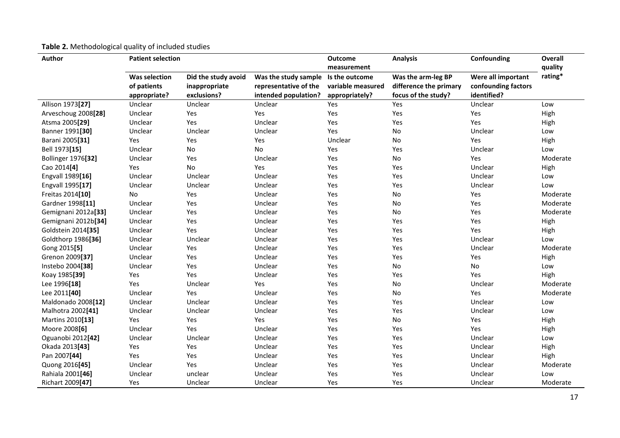| <b>Author</b>              | <b>Patient selection</b>                     |                                                     |                                                                       | <b>Outcome</b><br>measurement                         | <b>Analysis</b>                                                     | Confounding                                              | Overall<br>quality |  |
|----------------------------|----------------------------------------------|-----------------------------------------------------|-----------------------------------------------------------------------|-------------------------------------------------------|---------------------------------------------------------------------|----------------------------------------------------------|--------------------|--|
|                            | Was selection<br>of patients<br>appropriate? | Did the study avoid<br>inappropriate<br>exclusions? | Was the study sample<br>representative of the<br>intended population? | Is the outcome<br>variable measured<br>appropriately? | Was the arm-leg BP<br>difference the primary<br>focus of the study? | Were all important<br>confounding factors<br>identified? | rating*            |  |
| Allison 1973[27]           | Unclear                                      | Unclear                                             | Unclear                                                               | Yes                                                   | Yes                                                                 | Unclear                                                  | Low                |  |
| Arveschoug 2008[28]        | Unclear                                      | Yes                                                 | Yes                                                                   | Yes                                                   | Yes                                                                 | Yes                                                      | High               |  |
| Atsma 2005[29]             | Unclear                                      | Yes                                                 | Unclear                                                               | Yes                                                   | Yes                                                                 | Yes                                                      | High               |  |
| Banner 1991[30]            | Unclear                                      | Unclear                                             | Unclear                                                               | Yes                                                   | No                                                                  | Unclear                                                  | Low                |  |
| Barani 2005[31]            | Yes                                          | Yes                                                 | Yes                                                                   | Unclear                                               | No                                                                  | Yes                                                      | High               |  |
| Bell 1973[15]              | Unclear                                      | No                                                  | No                                                                    | Yes                                                   | Yes                                                                 | Unclear                                                  | Low                |  |
| <b>Bollinger 1976[32]</b>  | Unclear                                      | Yes                                                 | Unclear                                                               | Yes                                                   | No                                                                  | Yes                                                      | Moderate           |  |
| Cao 2014[4]                | Yes                                          | No                                                  | Yes                                                                   | Yes                                                   | Yes                                                                 | Unclear                                                  | High               |  |
| Engvall 1989[16]           | Unclear                                      | Unclear                                             | Unclear                                                               | Yes                                                   | Yes                                                                 | Unclear                                                  | Low                |  |
| Engvall 1995[17]           | Unclear                                      | Unclear                                             | Unclear                                                               | Yes                                                   | Yes                                                                 | Unclear                                                  | Low                |  |
| Freitas 2014[10]           | No                                           | Yes                                                 | Unclear                                                               | Yes                                                   | No                                                                  | Yes                                                      | Moderate           |  |
| Gardner 1998[11]           | Unclear                                      | Yes                                                 | Unclear                                                               | Yes                                                   | No                                                                  | Yes                                                      | Moderate           |  |
| Gemignani 2012a[33]        | Unclear                                      | Yes                                                 | Unclear                                                               | Yes                                                   | No                                                                  | Yes                                                      | Moderate           |  |
| Gemignani 2012b[34]        | Unclear                                      | Yes                                                 | Unclear                                                               | Yes                                                   | Yes                                                                 | Yes                                                      | High               |  |
| Goldstein 2014[35]         | Unclear                                      | Yes                                                 | Unclear                                                               | Yes                                                   | Yes                                                                 | Yes                                                      | High               |  |
| Goldthorp 1986[36]         | Unclear                                      | Unclear                                             | Unclear                                                               | Yes                                                   | Yes                                                                 | Unclear                                                  | Low                |  |
| Gong 2015[5]               | Unclear                                      | Yes                                                 | Unclear                                                               | Yes                                                   | Yes                                                                 | Unclear                                                  | Moderate           |  |
| Grenon 2009[37]            | Unclear                                      | Yes                                                 | Unclear                                                               | Yes                                                   | Yes                                                                 | Yes                                                      | High               |  |
| Instebo 2004[38]           | Unclear                                      | Yes                                                 | Unclear                                                               | Yes                                                   | No                                                                  | No                                                       | Low                |  |
| Koay 1985[39]              | Yes                                          | Yes                                                 | Unclear                                                               | Yes                                                   | Yes                                                                 | Yes                                                      | High               |  |
| Lee 1996[18]               | Yes                                          | Unclear                                             | Yes                                                                   | Yes                                                   | No                                                                  | Unclear                                                  | Moderate           |  |
| Lee 2011[40]               | Unclear                                      | Yes                                                 | Unclear                                                               | Yes                                                   | No                                                                  | Yes                                                      | Moderate           |  |
| Maldonado 2008[12]         | Unclear                                      | Unclear                                             | Unclear                                                               | Yes                                                   | Yes                                                                 | Unclear                                                  | Low                |  |
| Malhotra 2002[41]          | Unclear                                      | Unclear                                             | Unclear                                                               | Yes                                                   | Yes                                                                 | Unclear                                                  | Low                |  |
| Martins 2010[13]           | Yes                                          | Yes                                                 | Yes                                                                   | Yes                                                   | No                                                                  | Yes                                                      | High               |  |
| Moore 2008 <sup>[6]</sup>  | Unclear                                      | Yes                                                 | Unclear                                                               | Yes                                                   | Yes                                                                 | Yes                                                      | High               |  |
| Oguanobi 2012[42]          | Unclear                                      | Unclear                                             | Unclear                                                               | Yes                                                   | Yes                                                                 | Unclear                                                  | Low                |  |
| Okada 2013[43]             | Yes                                          | Yes                                                 | Unclear                                                               | Yes                                                   | Yes                                                                 | Unclear                                                  | High               |  |
| Pan 2007[44]               | Yes                                          | Yes                                                 | Unclear                                                               | Yes                                                   | Yes                                                                 | Unclear                                                  | High               |  |
| Quong 2016 <sup>[45]</sup> | Unclear                                      | Yes                                                 | Unclear                                                               | Yes                                                   | Yes                                                                 | Unclear                                                  | Moderate           |  |
| Rahiala 2001[46]           | Unclear                                      | unclear                                             | Unclear                                                               | Yes                                                   | Yes                                                                 | Unclear                                                  | Low                |  |
| Richart 2009[47]           | Yes                                          | Unclear                                             | Unclear                                                               | Yes                                                   | Yes                                                                 | Unclear                                                  | Moderate           |  |

## **Table 2.** Methodological quality of included studies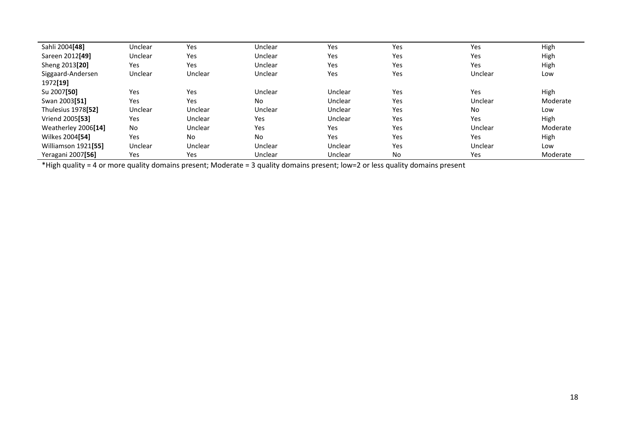| Sahli 2004[48]                 | Unclear | Yes     | Unclear | Yes     | Yes       | Yes       | High     |
|--------------------------------|---------|---------|---------|---------|-----------|-----------|----------|
| Sareen 2012 <sup>[49]</sup>    | Unclear | Yes     | Unclear | Yes     | Yes       | Yes       | High     |
| Sheng 2013 <sup>[20]</sup>     | Yes     | Yes     | Unclear | Yes     | Yes       | Yes       | High     |
| Siggaard-Andersen              | Unclear | Unclear | Unclear | Yes     | Yes       | Unclear   | Low      |
| 1972[19]                       |         |         |         |         |           |           |          |
| Su 2007[50]                    | Yes     | Yes     | Unclear | Unclear | Yes       | Yes       | High     |
| Swan 2003 <sup>[51]</sup>      | Yes     | Yes     | No      | Unclear | Yes       | Unclear   | Moderate |
| Thulesius 1978 <sup>[52]</sup> | Unclear | Unclear | Unclear | Unclear | Yes       | <b>No</b> | Low      |
| Vriend 2005 <sup>[53]</sup>    | Yes     | Unclear | Yes     | Unclear | Yes       | Yes       | High     |
| Weatherley 2006[14]            | No      | Unclear | Yes     | Yes     | Yes       | Unclear   | Moderate |
| Wilkes 2004[54]                | Yes     | No      | No      | Yes     | Yes       | Yes       | High     |
| Williamson 1921[55]            | Unclear | Unclear | Unclear | Unclear | Yes       | Unclear   | Low      |
| Yeragani 2007[56]              | Yes     | Yes     | Unclear | Unclear | <b>No</b> | Yes       | Moderate |

\*High quality = 4 or more quality domains present; Moderate = 3 quality domains present; low=2 or less quality domains present